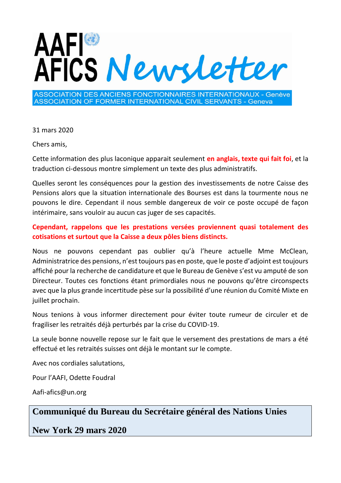

ASSOCIATION DES ANCIENS FONCTIONNAIRES INTERNATIONAUX - Genève **ASSOCIATION OF FORMER INTERNATIONAL CIVIL SERVANTS - Geneva** 

31 mars 2020

Chers amis,

Cette information des plus laconique apparait seulement **en anglais, texte qui fait foi**, et la traduction ci-dessous montre simplement un texte des plus administratifs.

Quelles seront les conséquences pour la gestion des investissements de notre Caisse des Pensions alors que la situation internationale des Bourses est dans la tourmente nous ne pouvons le dire. Cependant il nous semble dangereux de voir ce poste occupé de façon intérimaire, sans vouloir au aucun cas juger de ses capacités.

## **Cependant, rappelons que les prestations versées proviennent quasi totalement des cotisations et surtout que la Caisse a deux pôles biens distincts.**

Nous ne pouvons cependant pas oublier qu'à l'heure actuelle Mme McClean, Administratrice des pensions, n'est toujours pas en poste, que le poste d'adjoint est toujours affiché pour la recherche de candidature et que le Bureau de Genève s'est vu amputé de son Directeur. Toutes ces fonctions étant primordiales nous ne pouvons qu'être circonspects avec que la plus grande incertitude pèse sur la possibilité d'une réunion du Comité Mixte en juillet prochain.

Nous tenions à vous informer directement pour éviter toute rumeur de circuler et de fragiliser les retraités déjà perturbés par la crise du COVID-19.

La seule bonne nouvelle repose sur le fait que le versement des prestations de mars a été effectué et les retraités suisses ont déjà le montant sur le compte.

Avec nos cordiales salutations,

Pour l'AAFI, Odette Foudral

Aafi-afics@un.org

## **[Communiqué du Bureau du Secrétaire général des Nations Unies](https://www.un.org/sg/en/content/sg/note-correspondents/2020-03-29/note-correspondents-the-resignation-of-sudhir-rajkumar)**

**New York 29 mars 2020**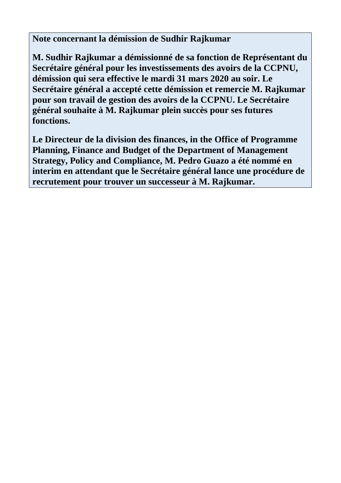**Note concernant la démission de Sudhir Rajkumar**

**[M. Sudhir Rajkumar a démissionné de sa fonction de Représentant du](https://www.un.org/sg/en/content/sg/note-correspondents/2020-03-29/note-correspondents-the-resignation-of-sudhir-rajkumar)  Secrétaire général pour les investissements des avoirs de la CCPNU, démission qui sera effective le mardi 31 mars 2020 au soir. Le Secrétaire général a accepté cette démission et remercie M. Rajkumar pour son travail de gestion des avoirs de la CCPNU. Le Secrétaire général souhaite à M. Rajkumar plein succès pour ses futures fonctions.**

**Le Directeur de la division des finances, in the Office of Programme Planning, Finance and Budget of the Department of Management Strategy, Policy and Compliance, M. Pedro Guazo a été nommé en interim en attendant que le Secrétaire général lance une procédure de recrutement pour trouver un successeur à M. Rajkumar.**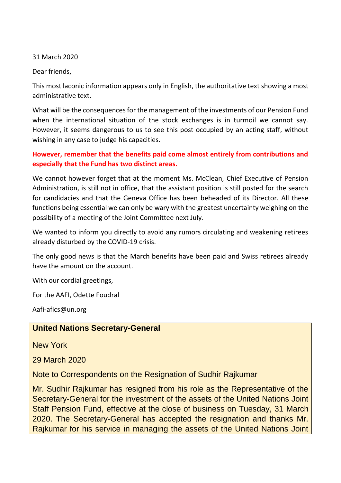31 March 2020

Dear friends,

This most laconic information appears only in English, the authoritative text showing a most administrative text.

What will be the consequences for the management of the investments of our Pension Fund when the international situation of the stock exchanges is in turmoil we cannot say. However, it seems dangerous to us to see this post occupied by an acting staff, without wishing in any case to judge his capacities.

## **However, remember that the benefits paid come almost entirely from contributions and especially that the Fund has two distinct areas.**

We cannot however forget that at the moment Ms. McClean, Chief Executive of Pension Administration, is still not in office, that the assistant position is still posted for the search for candidacies and that the Geneva Office has been beheaded of its Director. All these functions being essential we can only be wary with the greatest uncertainty weighing on the possibility of a meeting of the Joint Committee next July.

We wanted to inform you directly to avoid any rumors circulating and weakening retirees already disturbed by the COVID-19 crisis.

The only good news is that the March benefits have been paid and Swiss retirees already have the amount on the account.

With our cordial greetings,

For the AAFI, Odette Foudral

Aafi-afics@un.org

## **United Nations Secretary-General**

New York

29 March 2020

Note to Correspondents on the Resignation of Sudhir Rajkumar

Mr. Sudhir Rajkumar has resigned from his role as the Representative of the Secretary-General for the investment of the assets of the United Nations Joint [Staff Pension Fund, effective at the close of business on Tuesday, 31 March](https://www.un.org/sg/en/content/sg/note-correspondents/2020-03-29/note-correspondents-the-resignation-of-sudhir-rajkumar)  2020. The Secretary-General has accepted the resignation and thanks Mr. Rajkumar for his service in managing the assets of the United Nations Joint